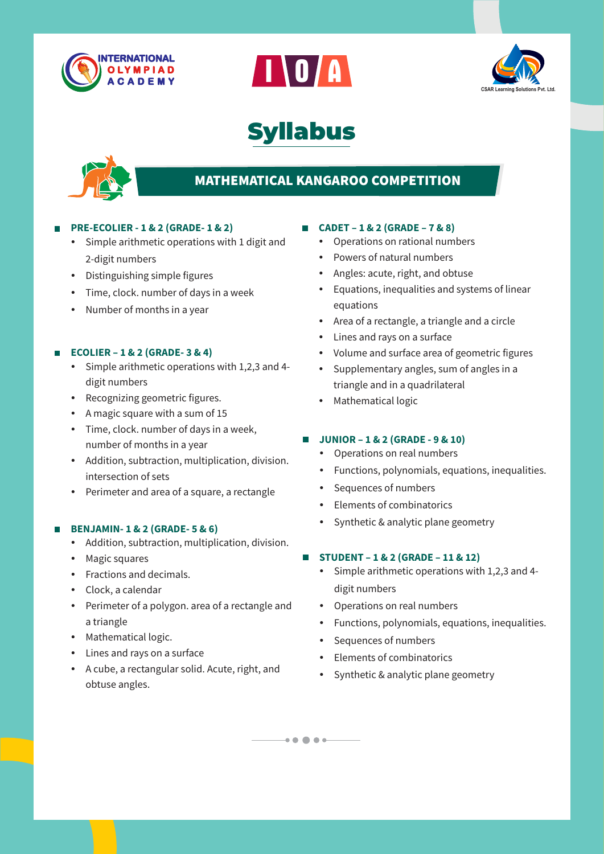







# **MATHEMATICAL KANGAROO COMPETITION**

#### **PRE-ECOLIER - 1 & 2 (GRADE- 1 & 2)**

- Simple arithmetic operations with 1 digit and 2-digit numbers
- Distinguishing simple figures
- Time, clock. number of days in a week
- $\cdot$  Number of months in a year

#### **ECOLIER – 1 & 2 (GRADE- 3 & 4)**

- $\cdot$  Simple arithmetic operations with 1,2,3 and 4digit numbers
- Recognizing geometric figures.
- A magic square with a sum of 15
- $\cdot$  Time, clock. number of days in a week, number of months in a year
- Addition, subtraction, multiplication, division. intersection of sets
- Perimeter and area of a square, a rectangle

#### **BENJAMIN- 1 & 2 (GRADE- 5 & 6)**

- Addition, subtraction, multiplication, division.
- Magic squares
- Fractions and decimals.
- Clock, a calendar
- Perimeter of a polygon. area of a rectangle and a triangle
- Mathematical logic.
- Lines and rays on a surface
- A cube, a rectangular solid. Acute, right, and obtuse angles.

#### **CADET – 1 & 2 (GRADE – 7 & 8)**

- Operations on rational numbers
- Powers of natural numbers
- Angles: acute, right, and obtuse
- Equations, inequalities and systems of linear equations
- Area of a rectangle, a triangle and a circle
- Lines and rays on a surface
- Volume and surface area of geometric figures
- Supplementary angles, sum of angles in a triangle and in a quadrilateral
- Mathematical logic

#### **JUNIOR – 1 & 2 (GRADE - 9 & 10)**

- Operations on real numbers
- Functions, polynomials, equations, inequalities.
- Sequences of numbers
- Elements of combinatorics
- Synthetic & analytic plane geometry

#### **STUDENT – 1 & 2 (GRADE – 11 & 12)**  $\mathcal{L}_{\mathcal{A}}$

- $\bullet$  Simple arithmetic operations with 1,2,3 and 4digit numbers
- Operations on real numbers
- Functions, polynomials, equations, inequalities.
- Sequences of numbers

 $-10000 -$ 

- Elements of combinatorics
- Synthetic & analytic plane geometry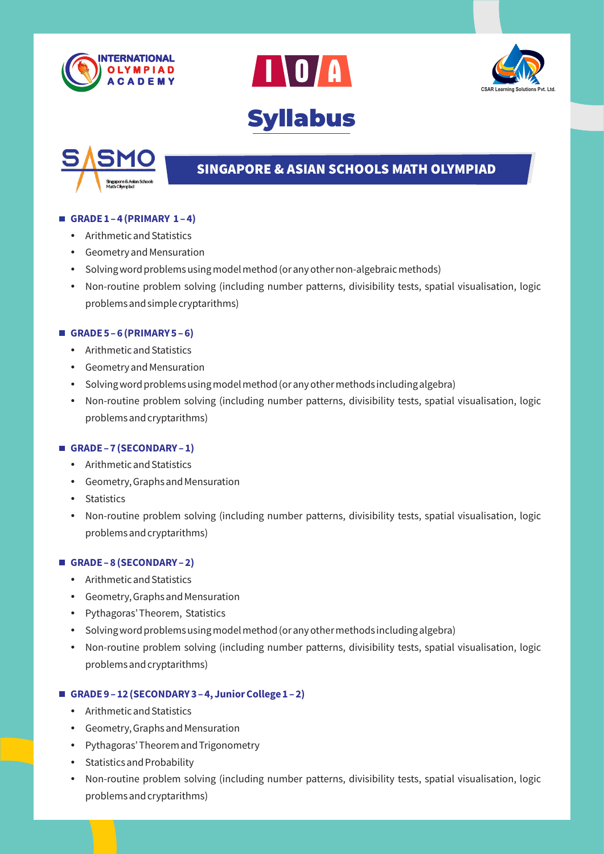







# **SINGAPORE & ASIAN SCHOOLS MATH OLYMPIAD**

#### **GRADE 1 – 4 (PRIMARY 1 – 4)**

- Arithmetic and Statistics
- Geometry and Mensuration
- Solving word problems using model method (or any other non-algebraic methods)
- Non-routine problem solving (including number patterns, divisibility tests, spatial visualisation, logic problems and simple cryptarithms)

#### **GRADE 5 – 6 (PRIMARY 5 – 6)**

- Arithmetic and Statistics
- Geometry and Mensuration
- Solving word problems using model method (or any other methods including algebra)
- Non-routine problem solving (including number patterns, divisibility tests, spatial visualisation, logic problems and cryptarithms)

#### **GRADE – 7 (SECONDARY – 1)**

- Arithmetic and Statistics
- Geometry, Graphs and Mensuration
- Statistics
- Non-routine problem solving (including number patterns, divisibility tests, spatial visualisation, logic problems and cryptarithms)

#### **GRADE – 8 (SECONDARY – 2)**

- Arithmetic and Statistics
- Geometry, Graphs and Mensuration
- Pythagoras' Theorem, Statistics
- Solving word problems using model method (or any other methods including algebra)
- Non-routine problem solving (including number patterns, divisibility tests, spatial visualisation, logic problems and cryptarithms)

### **GRADE 9 – 12 (SECONDARY 3 – 4, Junior College 1 – 2)**

- Arithmetic and Statistics
- Geometry, Graphs and Mensuration
- Pythagoras' Theorem and Trigonometry
- $\bullet$  Statistics and Probability
- Non-routine problem solving (including number patterns, divisibility tests, spatial visualisation, logic problems and cryptarithms)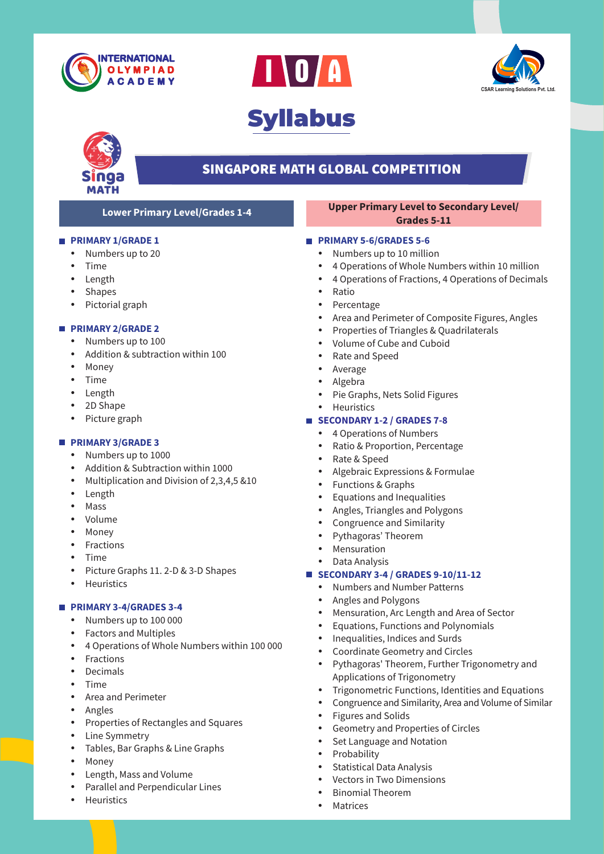







### **SINGAPORE MATH GLOBAL COMPETITION**

#### **PRIMARY 1/GRADE 1**

- Numbers up to 20
- **Time**
- Length
- Shapes
- Pictorial graph

#### **PRIMARY 2/GRADE 2**

- Numbers up to 100
- Addition & subtraction within 100
- Money
- $\bullet$  Time
- Length
- 2D Shape
- Picture graph

#### **PRIMARY 3/GRADE 3**

- Numbers up to 1000
- Addition & Subtraction within 1000
- Multiplication and Division of  $2,3,4,5$  &10
- Length
- Mass
- Volume
- Money
- Fractions
- **Time**
- Picture Graphs 11. 2-D & 3-D Shapes
- Heuristics

#### **PRIMARY 3-4/GRADES 3-4**

- Numbers up to 100 000
- Factors and Multiples
- 4 Operations of Whole Numbers within 100 000
- Fractions
- Decimals
- **Time**
- Area and Perimeter
- Angles
- Properties of Rectangles and Squares
- Line Symmetry
- Tables, Bar Graphs & Line Graphs
- Money
- Length, Mass and Volume
- Parallel and Perpendicular Lines
- **Heuristics**

#### **Lower Primary Level/Grades 1-4 Upper Primary Level to Secondary Level/ Grades 5-11**

#### **PRIMARY 5-6/GRADES 5-6**

- Numbers up to 10 million
- 4 Operations of Whole Numbers within 10 million
- 4 Operations of Fractions, 4 Operations of Decimals
- Ratio
- Percentage
- Area and Perimeter of Composite Figures, Angles
- Properties of Triangles & Quadrilaterals
- Volume of Cube and Cuboid
- Rate and Speed
- Average
- Algebra
- Pie Graphs, Nets Solid Figures
- Heuristics

#### **SECONDARY 1-2 / GRADES 7-8**

- 4 Operations of Numbers
- Ratio & Proportion, Percentage
- Rate & Speed
- Algebraic Expressions & Formulae
- Functions & Graphs
- Equations and Inequalities
- Angles, Triangles and Polygons
- Congruence and Similarity
- Pythagoras' Theorem
- Mensuration
- Data Analysis

#### **SECONDARY 3-4 / GRADES 9-10/11-12**

- Numbers and Number Patterns
- Angles and Polygons
- Mensuration, Arc Length and Area of Sector
- Equations, Functions and Polynomials
- Inequalities, Indices and Surds
- Coordinate Geometry and Circles
- Pythagoras' Theorem, Further Trigonometry and Applications of Trigonometry
- Trigonometric Functions, Identities and Equations
- Congruence and Similarity, Area and Volume of Similar
- Figures and Solids
- Geometry and Properties of Circles
- Set Language and Notation
- Probability
- Statistical Data Analysis
- Vectors in Two Dimensions
- **Binomial Theorem**
- **Matrices**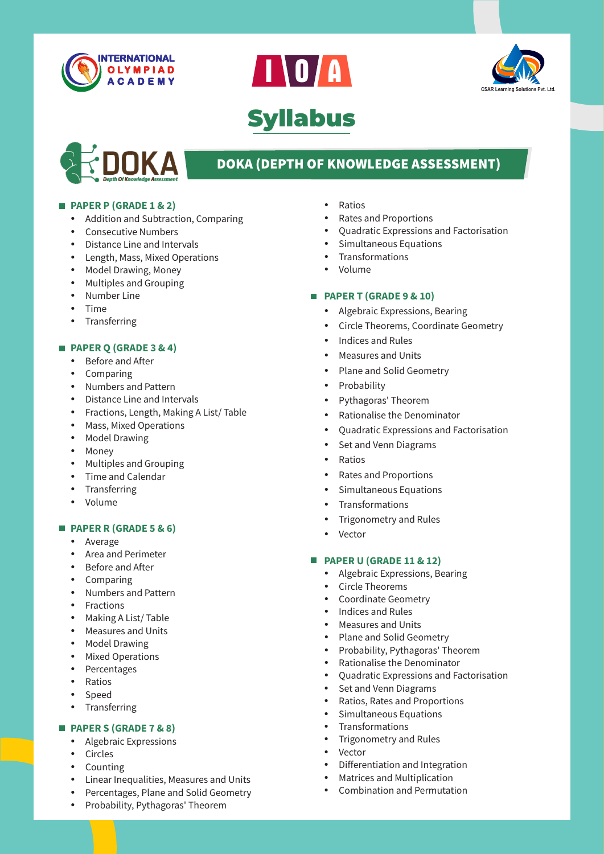







# **DOKA (DEPTH OF KNOWLEDGE ASSESSMENT)**

#### **PAPER P (GRADE 1 & 2)**

- Addition and Subtraction, Comparing
- Consecutive Numbers
- Distance Line and Intervals
- Length, Mass, Mixed Operations
- Model Drawing, Money
- Multiples and Grouping
- Number Line
- **Time**
- Transferring

#### **PAPER Q (GRADE 3 & 4)**

- Before and After
- $\bullet$  Comparing
- Numbers and Pattern
- Distance Line and Intervals
- Fractions, Length, Making A List/ Table
- Mass, Mixed Operations
- Model Drawing
- Money
- Multiples and Grouping
- $\bullet$  Time and Calendar
- Transferring
- Volume

#### **PAPER R (GRADE 5 & 6)**

- Average
- Area and Perimeter
- Before and After
- Comparing
- Numbers and Pattern
- Fractions
- Making A List/ Table
- Measures and Units
- Model Drawing
- Mixed Operations
- Percentages
- Ratios
- Speed
- Transferring

### **PAPER S (GRADE 7 & 8)**

- Algebraic Expressions
- Circles
- Counting
- Linear Inequalities, Measures and Units
- Percentages, Plane and Solid Geometry
- Probability, Pythagoras' Theorem
- Ratios
- Rates and Proportions
- 
- 
- Transformations
- Volume

#### **PAPER T (GRADE 9 & 10)**

- Algebraic Expressions, Bearing
- Circle Theorems, Coordinate Geometry
- Indices and Rules
- **Measures and Units**
- Plane and Solid Geometry
- Probability
- Pythagoras' Theorem
- Rationalise the Denominator
- Quadratic Expressions and Factorisation
- Set and Venn Diagrams
- Ratios
- Rates and Proportions
- Simultaneous Equations
- Transformations
- Trigonometry and Rules
- Vector

#### **PAPER U (GRADE 11 & 12)**

- Algebraic Expressions, Bearing
- Circle Theorems
- Coordinate Geometry
- Indices and Rules
- **Measures and Units**
- Plane and Solid Geometry
- Probability, Pythagoras' Theorem
- Rationalise the Denominator
- Quadratic Expressions and Factorisation
- Set and Venn Diagrams
- Ratios, Rates and Proportions
- Simultaneous Equations
- Transformations
- Trigonometry and Rules
- Vector
- Differentiation and Integration
- Matrices and Multiplication
- Combination and Permutation
- - Quadratic Expressions and Factorisation
	- Simultaneous Equations
- 
-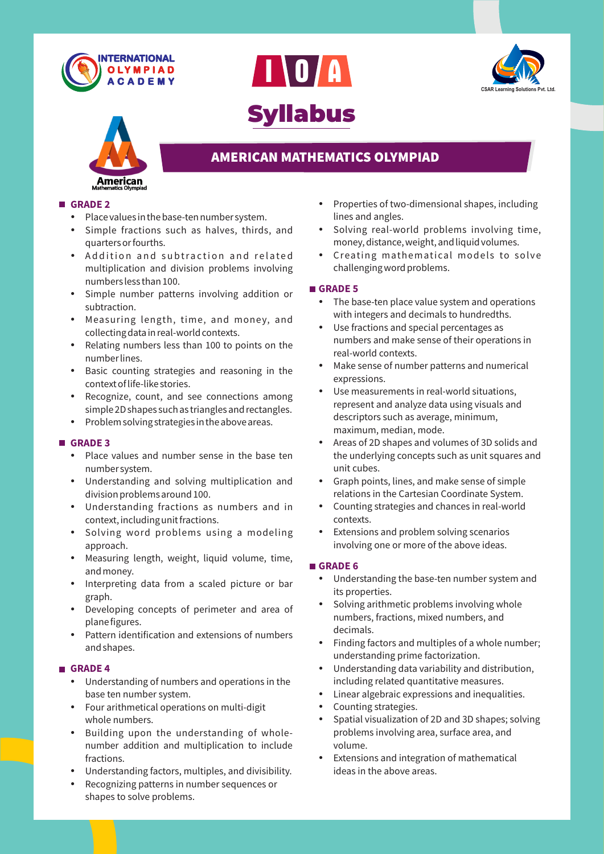







## **AMERICAN MATHEMATICS OLYMPIAD**

#### **GRADE 2**

- $\cdot$  Place values in the base-ten number system.
- Simple fractions such as halves, thirds, and quarters or fourths.
- Addition and subtraction and related multiplication and division problems involving numbers less than 100.
- Simple number patterns involving addition or subtraction.
- Measuring length, time, and money, and collecting data in real-world contexts.
- Relating numbers less than 100 to points on the number lines.
- Basic counting strategies and reasoning in the context of life-like stories.
- Recognize, count, and see connections among simple 2D shapes such as triangles and rectangles.
- Problem solving strategies in the above areas.

#### **GRADE 3**

- Place values and number sense in the base ten number system.
- Understanding and solving multiplication and division problems around 100.
- Understanding fractions as numbers and in context, including unit fractions.
- Solving word problems using a modeling approach.
- Measuring length, weight, liquid volume, time, and money.
- Interpreting data from a scaled picture or bar graph.
- Developing concepts of perimeter and area of plane figures.
- Pattern identification and extensions of numbers and shapes.

#### **GRADE 4**

- Understanding of numbers and operations in the base ten number system.
- Four arithmetical operations on multi-digit whole numbers.
- Building upon the understanding of wholenumber addition and multiplication to include fractions.
- Understanding factors, multiples, and divisibility.
- Recognizing patterns in number sequences or shapes to solve problems.
- Properties of two-dimensional shapes, including lines and angles.
- Solving real-world problems involving time, money, distance, weight, and liquid volumes.
- Creating mathematical models to solve challenging word problems.

#### **GRADE 5**

- The base-ten place value system and operations with integers and decimals to hundredths.
- Use fractions and special percentages as numbers and make sense of their operations in real-world contexts.
- Make sense of number patterns and numerical expressions.
- Use measurements in real-world situations, represent and analyze data using visuals and descriptors such as average, minimum, maximum, median, mode.
- Areas of 2D shapes and volumes of 3D solids and the underlying concepts such as unit squares and unit cubes.
- $\bullet$  Graph points, lines, and make sense of simple relations in the Cartesian Coordinate System.
- Counting strategies and chances in real-world contexts.
- Extensions and problem solving scenarios involving one or more of the above ideas.

#### **GRADE 6**

- Understanding the base-ten number system and its properties.
- Solving arithmetic problems involving whole numbers, fractions, mixed numbers, and decimals.
- Finding factors and multiples of a whole number; understanding prime factorization.
- Understanding data variability and distribution, including related quantitative measures.
- Linear algebraic expressions and inequalities.
- Counting strategies.
- Spatial visualization of 2D and 3D shapes; solving problems involving area, surface area, and volume.
- Extensions and integration of mathematical ideas in the above areas.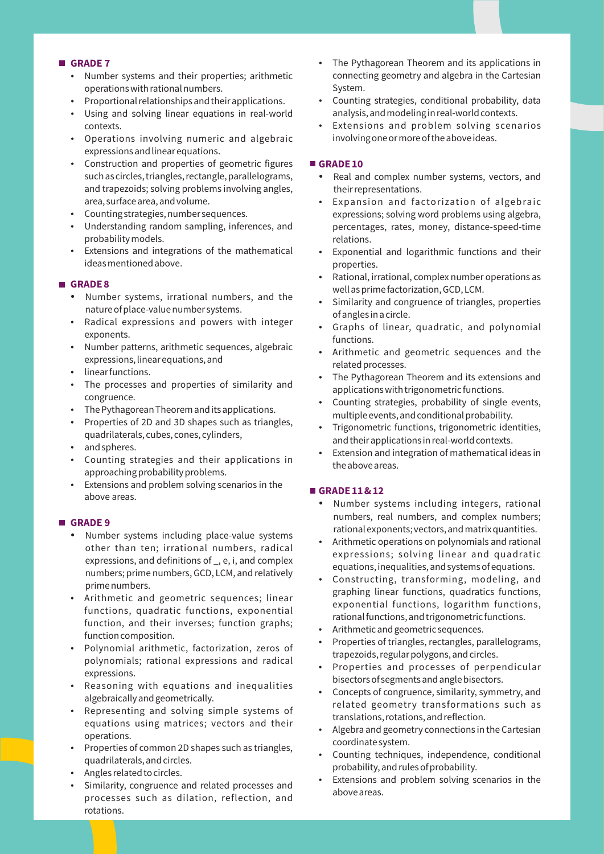#### **GRADE 7**

- Number systems and their properties; arithmetic operations with rational numbers.
- Proportional relationships and their applications.
- Using and solving linear equations in real-world contexts.
- Operations involving numeric and algebraic expressions and linear equations.
- Construction and properties of geometric figures such as circles, triangles, rectangle, parallelograms, and trapezoids; solving problems involving angles, area, surface area, and volume.
- Counting strategies, number sequences.
- Understanding random sampling, inferences, and probability models.
- Extensions and integrations of the mathematical ideas mentioned above.

#### **GRADE 8**

- Number systems, irrational numbers, and the nature of place-value number systems.
- Radical expressions and powers with integer exponents.
- Number patterns, arithmetic sequences, algebraic expressions, linear equations, and
- linear functions.
- The processes and properties of similarity and congruence.
- The Pythagorean Theorem and its applications.
- Properties of 2D and 3D shapes such as triangles, quadrilaterals, cubes, cones, cylinders,
- and spheres.
- Counting strategies and their applications in approaching probability problems.
- Extensions and problem solving scenarios in the above areas.

#### **GRADE 9**

- Number systems including place-value systems other than ten; irrational numbers, radical expressions, and definitions of \_, e, i, and complex numbers; prime numbers, GCD, LCM, and relatively prime numbers.
- Arithmetic and geometric sequences; linear functions, quadratic functions, exponential function, and their inverses; function graphs; function composition.
- Polynomial arithmetic, factorization, zeros of polynomials; rational expressions and radical expressions.
- Reasoning with equations and inequalities algebraically and geometrically.
- Representing and solving simple systems of equations using matrices; vectors and their operations.
- Properties of common 2D shapes such as triangles, quadrilaterals, and circles.
- Angles related to circles.
- Similarity, congruence and related processes and processes such as dilation, reflection, and rotations.
- The Pythagorean Theorem and its applications in connecting geometry and algebra in the Cartesian System.
- Counting strategies, conditional probability, data analysis, and modeling in real-world contexts.
- Extensions and problem solving scenarios involving one or more of the above ideas.

#### GRADE 10

- Real and complex number systems, vectors, and their representations.
- Expansion and factorization of algebraic expressions; solving word problems using algebra, percentages, rates, money, distance-speed-time relations.
- Exponential and logarithmic functions and their properties.
- Rational, irrational, complex number operations as well as prime factorization, GCD, LCM.
- Similarity and congruence of triangles, properties of angles in a circle.
- Graphs of linear, quadratic, and polynomial functions.
- Arithmetic and geometric sequences and the related processes.
- The Pythagorean Theorem and its extensions and applications with trigonometric functions.
- Counting strategies, probability of single events, multiple events, and conditional probability.
- Trigonometric functions, trigonometric identities, and their applications in real-world contexts.
- Extension and integration of mathematical ideas in the above areas.

#### **GRADE 11 & 12**

- Number systems including integers, rational numbers, real numbers, and complex numbers; rational exponents; vectors, and matrix quantities.
- Arithmetic operations on polynomials and rational expressions; solving linear and quadratic equations, inequalities, and systems of equations.
- Constructing, transforming, modeling, and graphing linear functions, quadratics functions, exponential functions, logarithm functions, rational functions, and trigonometric functions.
- Arithmetic and geometric sequences.
- Properties of triangles, rectangles, parallelograms, trapezoids, regular polygons, and circles.
- Properties and processes of perpendicular bisectors of segments and angle bisectors.
- Concepts of congruence, similarity, symmetry, and related geometry transformations such as translations, rotations, and reflection.
- Algebra and geometry connections in the Cartesian coordinate system.
- Counting techniques, independence, conditional probability, and rules of probability.
- Extensions and problem solving scenarios in the above areas.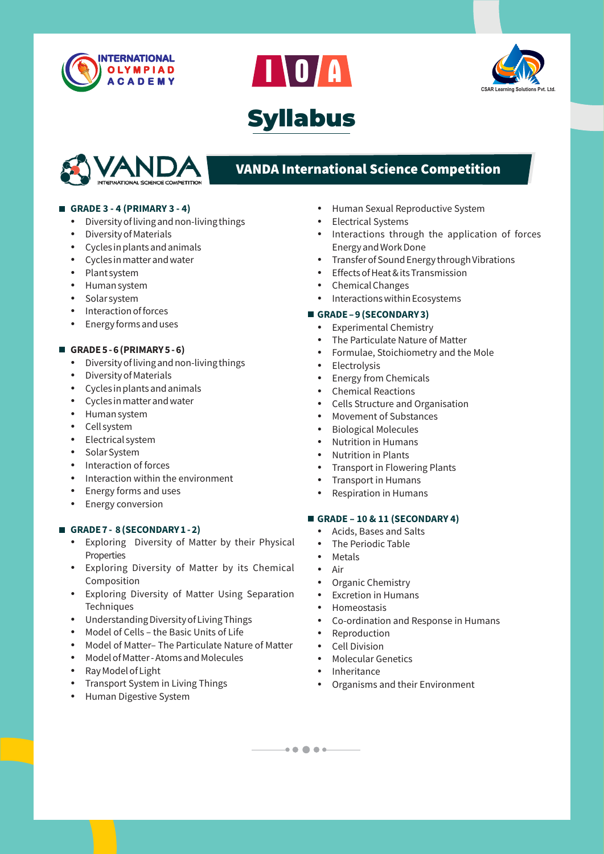







# **VANDA International Science Competition**

#### **GRADE 3 - 4 (PRIMARY 3 - 4)**

- Diversity of living and non-living things
- Diversity of Materials
- $\bullet$  Cycles in plants and animals
- Cycles in matter and water
- Plant system
- Human system
- Solar system
- Interaction of forces
- Energy forms and uses

#### **GRADE 5 - 6 (PRIMARY 5 - 6)**

- Diversity of living and non-living things
- Diversity of Materials
- $\cdot$  Cycles in plants and animals
- $\bullet$  Cycles in matter and water
- Human system
- Cell system
- Electrical system
- Solar System
- Interaction of forces
- Interaction within the environment
- Energy forms and uses
- Energy conversion

#### **GRADE 7 - 8 (SECONDARY 1 - 2)**

- Exploring Diversity of Matter by their Physical **Properties**
- Exploring Diversity of Matter by its Chemical Composition
- Exploring Diversity of Matter Using Separation **Techniques**
- Understanding Diversity of Living Things
- Model of Cells the Basic Units of Life
- Model of Matter– The Particulate Nature of Matter
- Model of Matter Atoms and Molecules
- Ray Model of Light
- Transport System in Living Things
- Human Digestive System
- Human Sexual Reproductive System
- Electrical Systems
- Interactions through the application of forces Energy and Work Done
- Transfer of Sound Energy through Vibrations
- $\cdot$  Effects of Heat & its Transmission
- Chemical Changes
- $\cdot$  Interactions within Ecosystems

#### **GRADE – 9 (SECONDARY 3)**

- Experimental Chemistry
- The Particulate Nature of Matter
- Formulae, Stoichiometry and the Mole
- Electrolysis
- Energy from Chemicals
- Chemical Reactions
- Cells Structure and Organisation
- **Movement of Substances**
- Biological Molecules
- Nutrition in Humans
- Nutrition in Plants
- Transport in Flowering Plants
- Transport in Humans
- Respiration in Humans

#### **GRADE – 10 & 11 (SECONDARY 4)**

- Acids, Bases and Salts
- The Periodic Table
- Metals
- Air
- Organic Chemistry
- **Excretion in Humans**
- Homeostasis
- Co-ordination and Response in Humans
- Reproduction
- Cell Division
- Molecular Genetics
- Inheritance

 $\longrightarrow \bullet \; \bullet \; \bullet \; \bullet \longrightarrow$ 

• Organisms and their Environment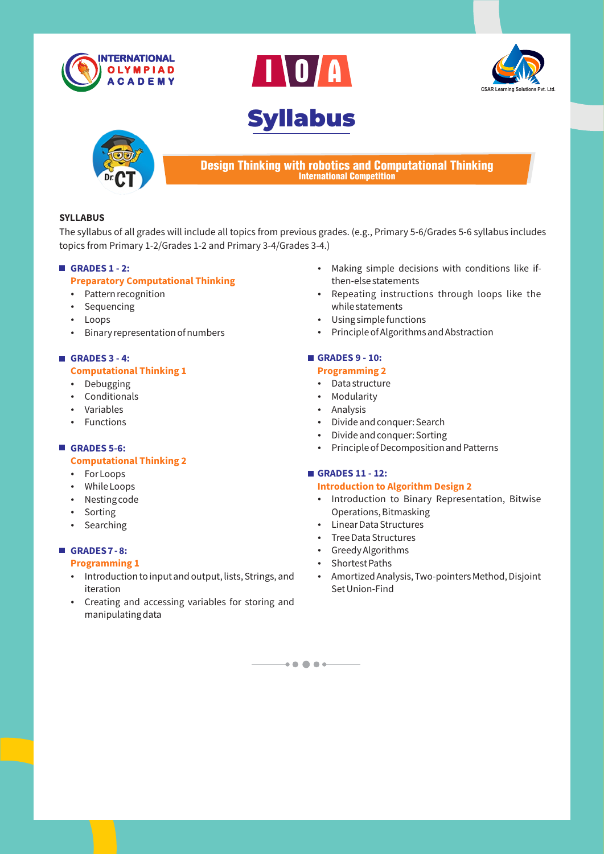









Design Thinking with robotics and Computational Thinking International Competition

#### **SYLLABUS**

The syllabus of all grades will include all topics from previous grades. (e.g., Primary 5-6/Grades 5-6 syllabus includes topics from Primary 1-2/Grades 1-2 and Primary 3-4/Grades 3-4.)

#### **GRADES 1 - 2:**

#### **Preparatory Computational Thinking**

- Pattern recognition
- Sequencing
- Loops
- Binary representation of numbers

### **GRADES 3 - 4: Computational Thinking 1**

### • Debugging

- Conditionals
- Variables
- $\cdot$  Functions

## **GRADES 5-6:**

#### **Computational Thinking 2**

- For Loops
- While Loops
- Nesting code
- Sorting
- Searching

#### **GRADES 7 - 8:**

#### **Programming 1**

- Introduction to input and output, lists, Strings, and iteration
- Creating and accessing variables for storing and manipulating data
- Making simple decisions with conditions like ifthen-else statements
- Repeating instructions through loops like the while statements
- Using simple functions
- Principle of Algorithms and Abstraction

### **GRADES 9 - 10:**

#### **Programming 2**

- Data structure
- Modularity
- Analysis
- Divide and conquer: Search
- Divide and conquer: Sorting
- Principle of Decomposition and Patterns

#### **GRADES 11 - 12:**

#### **Introduction to Algorithm Design 2**

- Introduction to Binary Representation, Bitwise Operations, Bitmasking
- Linear Data Structures
- Tree Data Structures
- Greedy Algorithms
- Shortest Paths

 $\bullet\bullet\bullet\bullet\bullet\quad$ 

• Amortized Analysis, Two-pointers Method, Disjoint Set Union-Find